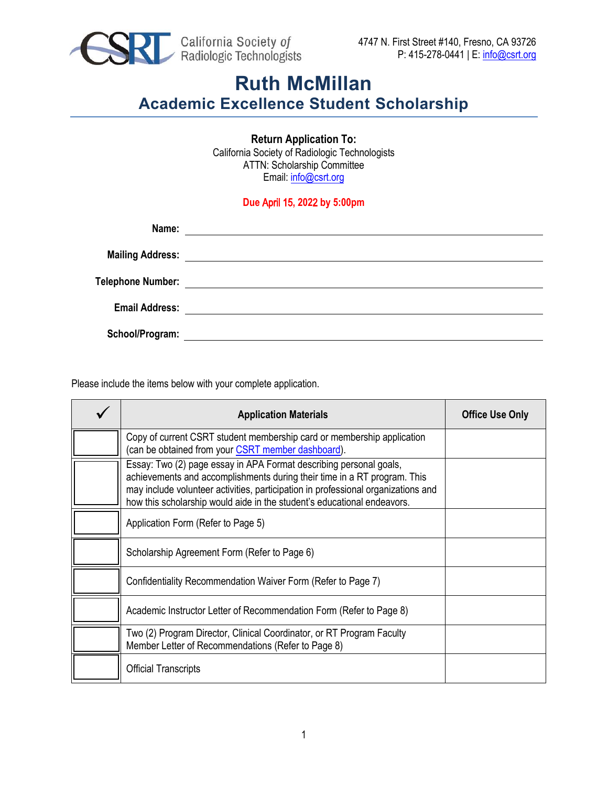

**Return Application To:**  California Society of Radiologic Technologists ATTN: Scholarship Committee Email: [info@csrt.org](mailto:info@csrt.org)

#### **Due** April 15**, 202**2 **by 5:00pm**

| Name:                 | <u> 1989 - Johann Stoff, amerikansk politiker (d. 1989)</u>                                                          |
|-----------------------|----------------------------------------------------------------------------------------------------------------------|
|                       |                                                                                                                      |
| Telephone Number:     |                                                                                                                      |
| <b>Email Address:</b> | <u> 1989 - Johann Barnett, fransk politiker (d. 1989)</u>                                                            |
|                       | <u> 1980 - Andrea State Barbara, amerikan personal di sebagai personal di sebagai personal di sebagai personal d</u> |
| School/Program:       |                                                                                                                      |

Please include the items below with your complete application.

| <b>Application Materials</b>                                                                                                                                                                                                                                                                                   | <b>Office Use Only</b> |
|----------------------------------------------------------------------------------------------------------------------------------------------------------------------------------------------------------------------------------------------------------------------------------------------------------------|------------------------|
| Copy of current CSRT student membership card or membership application<br>(can be obtained from your CSRT member dashboard).                                                                                                                                                                                   |                        |
| Essay: Two (2) page essay in APA Format describing personal goals,<br>achievements and accomplishments during their time in a RT program. This<br>may include volunteer activities, participation in professional organizations and<br>how this scholarship would aide in the student's educational endeavors. |                        |
| Application Form (Refer to Page 5)                                                                                                                                                                                                                                                                             |                        |
| Scholarship Agreement Form (Refer to Page 6)                                                                                                                                                                                                                                                                   |                        |
| Confidentiality Recommendation Waiver Form (Refer to Page 7)                                                                                                                                                                                                                                                   |                        |
| Academic Instructor Letter of Recommendation Form (Refer to Page 8)                                                                                                                                                                                                                                            |                        |
| Two (2) Program Director, Clinical Coordinator, or RT Program Faculty<br>Member Letter of Recommendations (Refer to Page 8)                                                                                                                                                                                    |                        |
| <b>Official Transcripts</b>                                                                                                                                                                                                                                                                                    |                        |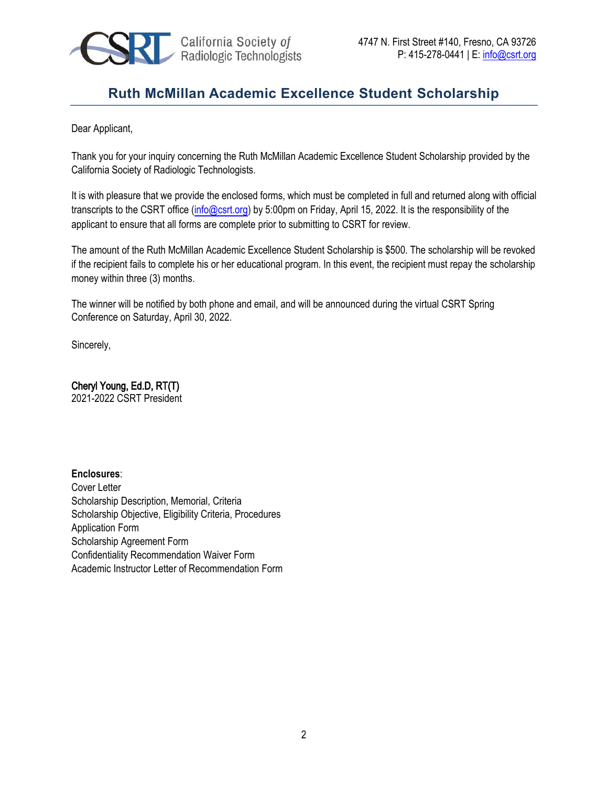

Dear Applicant,

Thank you for your inquiry concerning the Ruth McMillan Academic Excellence Student Scholarship provided by the California Society of Radiologic Technologists.

It is with pleasure that we provide the enclosed forms, which must be completed in full and returned along with official transcripts to the CSRT office [\(info@csrt.org\)](mailto:info@csrt.org) by 5:00pm on Friday, April 15, 2022. It is the responsibility of the applicant to ensure that all forms are complete prior to submitting to CSRT for review.

The amount of the Ruth McMillan Academic Excellence Student Scholarship is \$500. The scholarship will be revoked if the recipient fails to complete his or her educational program. In this event, the recipient must repay the scholarship money within three (3) months.

The winner will be notified by both phone and email, and will be announced during the virtual CSRT Spring Conference on Saturday, April 30, 2022.

Sincerely,

Cheryl Young, Ed.D, RT(T) 2021-2022 CSRT President

**Enclosures**:

Cover Letter Scholarship Description, Memorial, Criteria Scholarship Objective, Eligibility Criteria, Procedures Application Form Scholarship Agreement Form Confidentiality Recommendation Waiver Form Academic Instructor Letter of Recommendation Form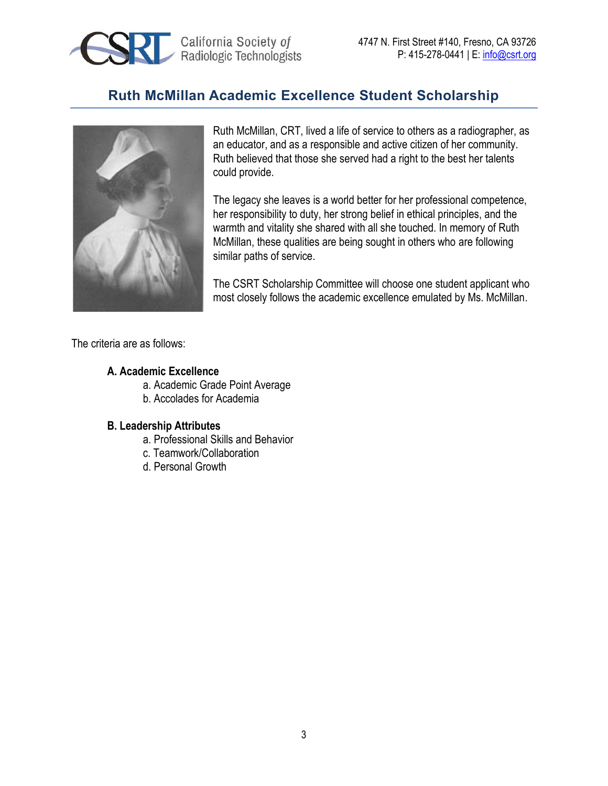



Ruth McMillan, CRT, lived a life of service to others as a radiographer, as an educator, and as a responsible and active citizen of her community. Ruth believed that those she served had a right to the best her talents could provide.

The legacy she leaves is a world better for her professional competence, her responsibility to duty, her strong belief in ethical principles, and the warmth and vitality she shared with all she touched. In memory of Ruth McMillan, these qualities are being sought in others who are following similar paths of service.

The CSRT Scholarship Committee will choose one student applicant who most closely follows the academic excellence emulated by Ms. McMillan.

The criteria are as follows:

#### **A. Academic Excellence**

- a. Academic Grade Point Average
- b. Accolades for Academia

#### **B. Leadership Attributes**

- a. Professional Skills and Behavior
- c. Teamwork/Collaboration
- d. Personal Growth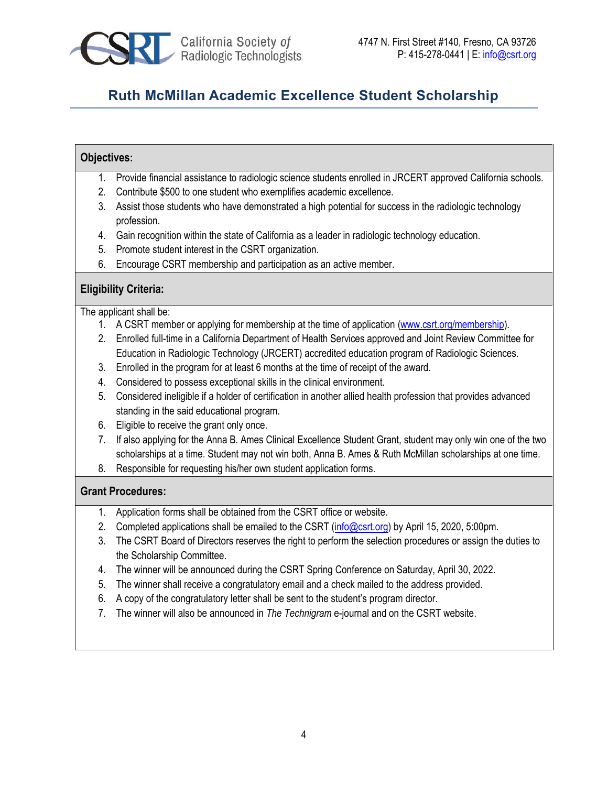

#### **Objectives:**

- 1. Provide financial assistance to radiologic science students enrolled in JRCERT approved California schools.
- 2. Contribute \$500 to one student who exemplifies academic excellence.
- 3. Assist those students who have demonstrated a high potential for success in the radiologic technology profession.
- 4. Gain recognition within the state of California as a leader in radiologic technology education.
- 5. Promote student interest in the CSRT organization.
- 6. Encourage CSRT membership and participation as an active member.

#### **Eligibility Criteria:**

The applicant shall be:

- 1. A CSRT member or applying for membership at the time of application [\(www.csrt.org/membership\)](https://www.csrt.org/membership).
- 2. Enrolled full-time in a California Department of Health Services approved and Joint Review Committee for Education in Radiologic Technology (JRCERT) accredited education program of Radiologic Sciences.
- 3. Enrolled in the program for at least 6 months at the time of receipt of the award.
- 4. Considered to possess exceptional skills in the clinical environment.
- 5. Considered ineligible if a holder of certification in another allied health profession that provides advanced standing in the said educational program.
- 6. Eligible to receive the grant only once.
- 7. If also applying for the Anna B. Ames Clinical Excellence Student Grant, student may only win one of the two scholarships at a time. Student may not win both, Anna B. Ames & Ruth McMillan scholarships at one time.
- 8. Responsible for requesting his/her own student application forms.

#### **Grant Procedures:**

- 1. Application forms shall be obtained from the CSRT office or website.
- 2. Completed applications shall be emailed to the CSRT [\(info@csrt.org\)](mailto:info@csrt.org) by April 15, 2020, 5:00pm.
- 3. The CSRT Board of Directors reserves the right to perform the selection procedures or assign the duties to the Scholarship Committee.
- 4. The winner will be announced during the CSRT Spring Conference on Saturday, April 30, 2022.
- 5. The winner shall receive a congratulatory email and a check mailed to the address provided.
- 6. A copy of the congratulatory letter shall be sent to the student's program director.
- 7. The winner will also be announced in *The Technigram* e-journal and on the CSRT website.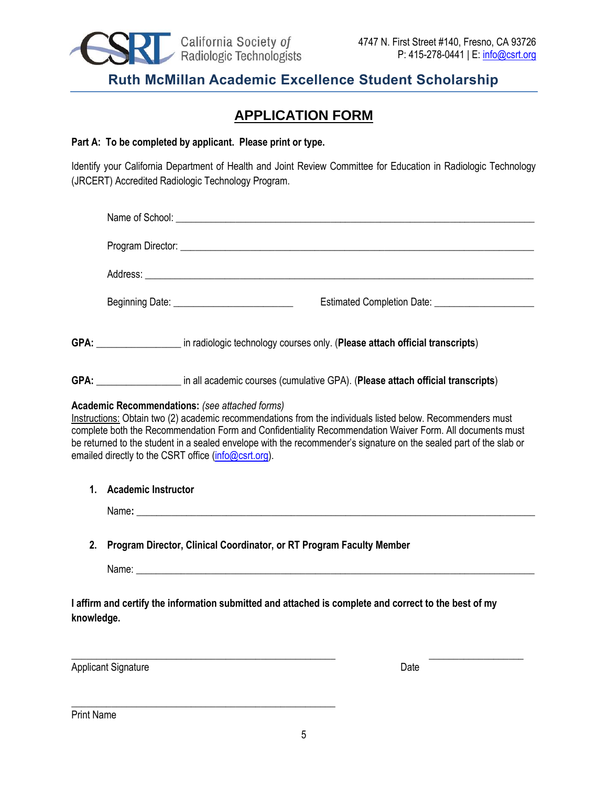

### **APPLICATION FORM**

#### **Part A: To be completed by applicant. Please print or type.**

Identify your California Department of Health and Joint Review Committee for Education in Radiologic Technology (JRCERT) Accredited Radiologic Technology Program.

|                                                                                                                     |                                                                      | Address: <u>www.community.com and a series of the series of the series of the series of the series of the series of</u>                                                                                                                                                                                                                                                                                                                                       |  |
|---------------------------------------------------------------------------------------------------------------------|----------------------------------------------------------------------|---------------------------------------------------------------------------------------------------------------------------------------------------------------------------------------------------------------------------------------------------------------------------------------------------------------------------------------------------------------------------------------------------------------------------------------------------------------|--|
|                                                                                                                     |                                                                      | Beginning Date: ____________________________                                                                                                                                                                                                                                                                                                                                                                                                                  |  |
|                                                                                                                     |                                                                      | GPA: _____________________ in radiologic technology courses only. (Please attach official transcripts)                                                                                                                                                                                                                                                                                                                                                        |  |
|                                                                                                                     |                                                                      | GPA: _____________________ in all academic courses (cumulative GPA). (Please attach official transcripts)                                                                                                                                                                                                                                                                                                                                                     |  |
|                                                                                                                     |                                                                      | <b>Academic Recommendations:</b> (see attached forms)<br>Instructions: Obtain two (2) academic recommendations from the individuals listed below. Recommenders must<br>complete both the Recommendation Form and Confidentiality Recommendation Waiver Form. All documents must<br>be returned to the student in a sealed envelope with the recommender's signature on the sealed part of the slab or<br>emailed directly to the CSRT office (info@csrt.org). |  |
| 1.                                                                                                                  | <b>Academic Instructor</b>                                           |                                                                                                                                                                                                                                                                                                                                                                                                                                                               |  |
|                                                                                                                     |                                                                      | Name: Name: when the contract of the contract of the contract of the contract of the contract of the contract of the contract of the contract of the contract of the contract of the contract of the contract of the contract                                                                                                                                                                                                                                 |  |
| 2.                                                                                                                  | Program Director, Clinical Coordinator, or RT Program Faculty Member |                                                                                                                                                                                                                                                                                                                                                                                                                                                               |  |
|                                                                                                                     |                                                                      |                                                                                                                                                                                                                                                                                                                                                                                                                                                               |  |
| I affirm and certify the information submitted and attached is complete and correct to the best of my<br>knowledge. |                                                                      |                                                                                                                                                                                                                                                                                                                                                                                                                                                               |  |
|                                                                                                                     |                                                                      |                                                                                                                                                                                                                                                                                                                                                                                                                                                               |  |

Applicant Signature Date Date Applicant Signature Date

\_\_\_\_\_\_\_\_\_\_\_\_\_\_\_\_\_\_\_\_\_\_\_\_\_\_\_\_\_\_\_\_\_\_\_\_\_\_\_\_\_\_\_\_\_\_\_\_\_\_\_\_\_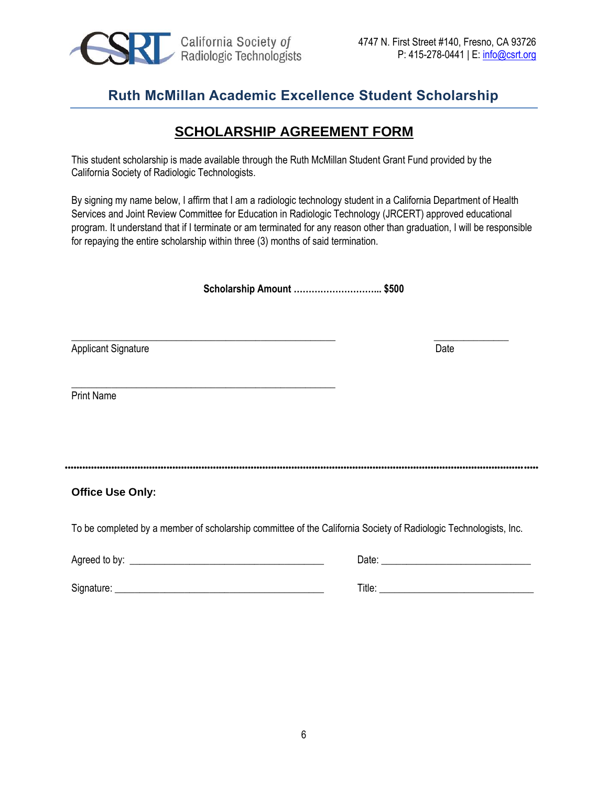

\_\_\_\_\_\_\_\_\_\_\_\_\_\_\_\_\_\_\_\_\_\_\_\_\_\_\_\_\_\_\_\_\_\_\_\_\_\_\_\_\_\_\_\_\_\_\_\_\_\_\_\_\_

### **Ruth McMillan Academic Excellence Student Scholarship**

### **SCHOLARSHIP AGREEMENT FORM**

This student scholarship is made available through the Ruth McMillan Student Grant Fund provided by the California Society of Radiologic Technologists.

By signing my name below, I affirm that I am a radiologic technology student in a California Department of Health Services and Joint Review Committee for Education in Radiologic Technology (JRCERT) approved educational program. It understand that if I terminate or am terminated for any reason other than graduation, I will be responsible for repaying the entire scholarship within three (3) months of said termination.

**Scholarship Amount ………………………... \$500** 

 $\_$  , and the set of the set of the set of the set of the set of the set of the set of the set of the set of the set of the set of the set of the set of the set of the set of the set of the set of the set of the set of th Applicant Signature Date

Print Name

\*\*\*\*\*\*\*\*\*\*\*\*\*\*\*\*\*\*\*\*\*\*\*\*\*\*\*\*\*\*\*\*\*\*\*\*\*\*\*\*\*\*\*\*\*\*\*\*\*\*\*\*\*\*\*\*\*\*\*\*\*\*\*\*\*\*\*\*\*\*\*\*\*\*\*\*\*\*\*\*\*\*\*\*\*\*\*\*\*\*\*\*\*\*\*\*\*\*\*\*\*\*\*\*\*\*\*\*\*\*\*\*\*\*\*\*\*\*\*\*\*\*\*\*\*\*\*\*\*\*\*\*\*\*\*\*\*\*\*\*\*\*\*\*\*\*\*\*\*\*\*\*\*\*\*\*\*\*\*\*\*\*\*

#### **Office Use Only:**

To be completed by a member of scholarship committee of the California Society of Radiologic Technologists, Inc.

| Agreed to by: | Date:  |
|---------------|--------|
| Signature:    | Title: |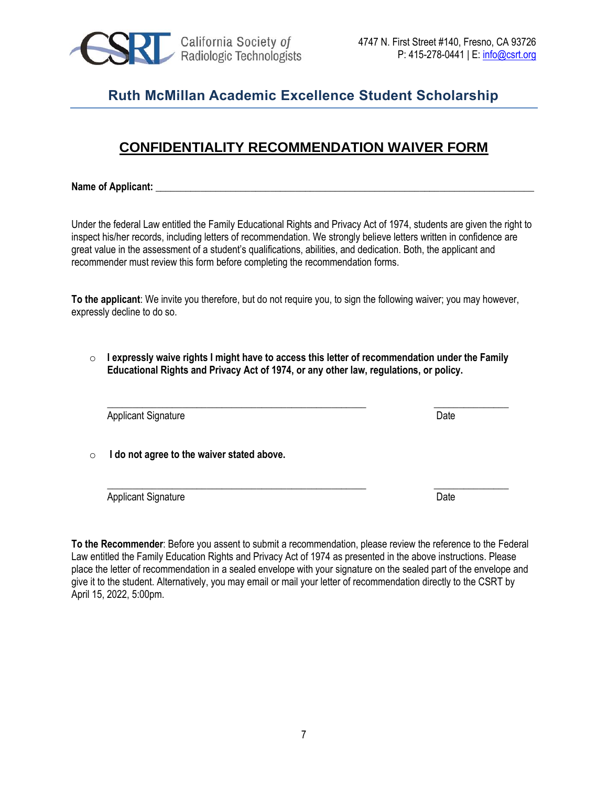

### **CONFIDENTIALITY RECOMMENDATION WAIVER FORM**

Name of Applicant:

Under the federal Law entitled the Family Educational Rights and Privacy Act of 1974, students are given the right to inspect his/her records, including letters of recommendation. We strongly believe letters written in confidence are great value in the assessment of a student's qualifications, abilities, and dedication. Both, the applicant and recommender must review this form before completing the recommendation forms.

**To the applicant**: We invite you therefore, but do not require you, to sign the following waiver; you may however, expressly decline to do so.

o **I expressly waive rights I might have to access this letter of recommendation under the Family Educational Rights and Privacy Act of 1974, or any other law, regulations, or policy.**

\_\_\_\_\_\_\_\_\_\_\_\_\_\_\_\_\_\_\_\_\_\_\_\_\_\_\_\_\_\_\_\_\_\_\_\_\_\_\_\_\_\_\_\_\_\_\_\_\_\_\_\_ \_\_\_\_\_\_\_\_\_\_\_\_\_\_\_

\_\_\_\_\_\_\_\_\_\_\_\_\_\_\_\_\_\_\_\_\_\_\_\_\_\_\_\_\_\_\_\_\_\_\_\_\_\_\_\_\_\_\_\_\_\_\_\_\_\_\_\_ \_\_\_\_\_\_\_\_\_\_\_\_\_\_\_

Applicant Signature Date Applicant Signature Date

o **I do not agree to the waiver stated above.**

Applicant Signature Date Applicant Signature Date

**To the Recommender**: Before you assent to submit a recommendation, please review the reference to the Federal Law entitled the Family Education Rights and Privacy Act of 1974 as presented in the above instructions. Please place the letter of recommendation in a sealed envelope with your signature on the sealed part of the envelope and give it to the student. Alternatively, you may email or mail your letter of recommendation directly to the CSRT by April 15, 2022, 5:00pm.